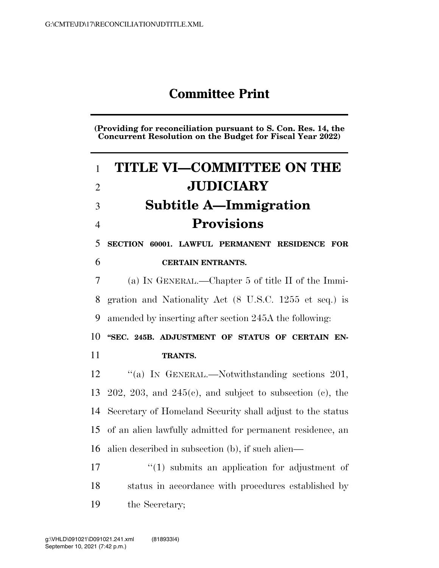## **Committee Print**

**(Providing for reconciliation pursuant to S. Con. Res. 14, the Concurrent Resolution on the Budget for Fiscal Year 2022)** 

| $\mathbf{1}$   | <b>TITLE VI-COMMITTEE ON THE</b>                              |
|----------------|---------------------------------------------------------------|
| $\overline{2}$ | <b>JUDICIARY</b>                                              |
| 3              | <b>Subtitle A-Immigration</b>                                 |
| $\overline{4}$ | <b>Provisions</b>                                             |
| 5              | SECTION 60001. LAWFUL PERMANENT RESIDENCE FOR                 |
| 6              | <b>CERTAIN ENTRANTS.</b>                                      |
| 7              | (a) IN GENERAL.—Chapter 5 of title II of the Immi-            |
| 8              | gration and Nationality Act (8 U.S.C. 1255 et seq.) is        |
| 9              | amended by inserting after section 245A the following:        |
|                |                                                               |
| 10             | "SEC. 245B. ADJUSTMENT OF STATUS OF CERTAIN EN-               |
| 11             | TRANTS.                                                       |
| 12             | "(a) IN GENERAL.—Notwithstanding sections $201$ ,             |
| 13             | $202, 203,$ and $245(e)$ , and subject to subsection (c), the |
| 14             | Secretary of Homeland Security shall adjust to the status     |
| 15             | of an alien lawfully admitted for permanent residence, an     |
| 16             | alien described in subsection (b), if such alien—             |
| 17             | $\lq(1)$ submits an application for adjustment of             |

the Secretary;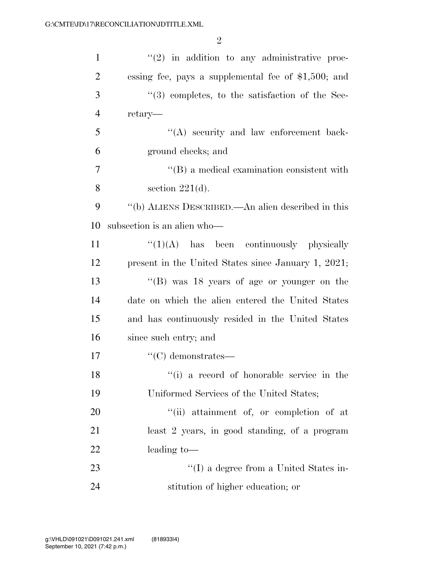| $\mathbf{1}$   | $f'(2)$ in addition to any administrative proc-          |
|----------------|----------------------------------------------------------|
| $\overline{2}$ | essing fee, pays a supplemental fee of $$1,500$ ; and    |
| 3              | "(3) completes, to the satisfaction of the Sec-          |
| $\overline{4}$ | retary—                                                  |
| 5              | "(A) security and law enforcement back-                  |
| 6              | ground checks; and                                       |
| 7              | $\lq\lq (B)$ a medical examination consistent with       |
| 8              | section $221(d)$ .                                       |
| 9              | $\lq\lq(b)$ ALIENS DESCRIBED.—An alien described in this |
| 10             | subsection is an alien who-                              |
| 11             | $\lq(1)(A)$ has been continuously physically             |
| 12             | present in the United States since January 1, 2021;      |
| 13             | "(B) was $18$ years of age or younger on the             |
| 14             | date on which the alien entered the United States        |
| 15             | and has continuously resided in the United States        |
| 16             | since such entry; and                                    |
| 17             | $\lq\lq$ demonstrates—                                   |
| 18             | "(i) a record of honorable service in the                |
| 19             | Uniformed Services of the United States;                 |
| 20             | "(ii) attainment of, or completion of at                 |
| 21             | least 2 years, in good standing, of a program            |
| 22             | leading to-                                              |
| 23             | "(I) a degree from a United States in-                   |
| 24             | stitution of higher education; or                        |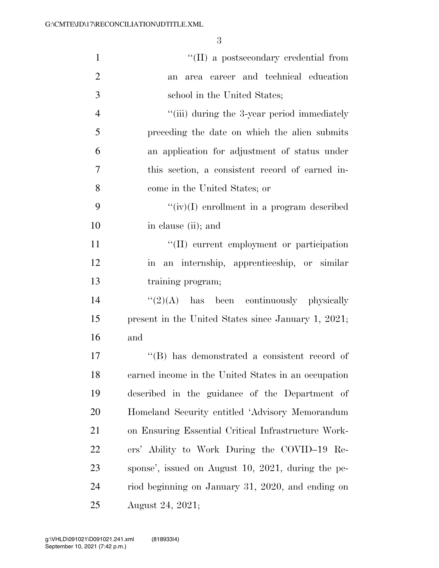| $\mathbf{1}$   | "(II) a postsecondary credential from               |
|----------------|-----------------------------------------------------|
| $\overline{2}$ | area career and technical education<br>an           |
| 3              | school in the United States;                        |
| $\overline{4}$ | "(iii) during the 3-year period immediately         |
| 5              | preceding the date on which the alien submits       |
| 6              | an application for adjustment of status under       |
| $\overline{7}$ | this section, a consistent record of earned in-     |
| 8              | come in the United States; or                       |
| 9              | $``(iv)(I)$ enrollment in a program described       |
| 10             | in clause (ii); and                                 |
| 11             | "(II) current employment or participation           |
| 12             | in an internship, apprenticeship, or similar        |
| 13             | training program;                                   |
| 14             | $\lq(2)(A)$ has been continuously physically        |
| 15             | present in the United States since January 1, 2021; |
| 16             | and                                                 |
| 17             | $\lq\lq$ has demonstrated a consistent record of    |
| 18             | earned income in the United States in an occupation |
| 19             | described in the guidance of the Department of      |
| 20             | Homeland Security entitled 'Advisory Memorandum     |
| 21             | on Ensuring Essential Critical Infrastructure Work- |
| 22             | ers' Ability to Work During the COVID-19 Re-        |
| 23             | sponse', issued on August 10, 2021, during the pe-  |
| 24             | riod beginning on January 31, 2020, and ending on   |
| 25             | August 24, 2021;                                    |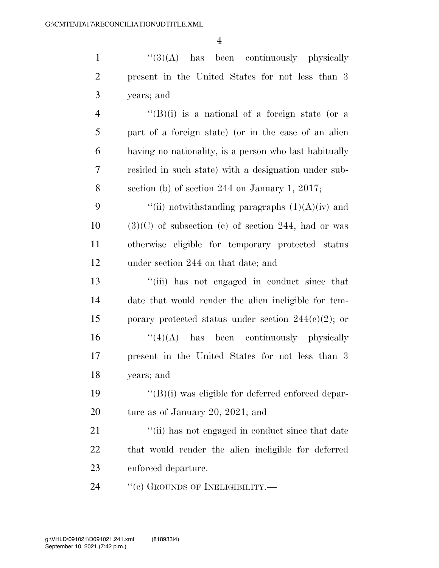1 ''(3)(A) has been continuously physically present in the United States for not less than 3 years; and

 $\frac{4}{(B)(i)}$  is a national of a foreign state (or a part of a foreign state) (or in the case of an alien having no nationality, is a person who last habitually resided in such state) with a designation under sub-section (b) of section 244 on January 1, 2017;

 $\frac{4}{\pi}$  (ii) notwithstanding paragraphs  $(1)(A)(iv)$  and  $10 \qquad (3)(C)$  of subsection (c) of section 244, had or was otherwise eligible for temporary protected status under section 244 on that date; and

 ''(iii) has not engaged in conduct since that date that would render the alien ineligible for tem-15 porary protected status under section  $244(e)(2)$ ; or ''(4)(A) has been continuously physically present in the United States for not less than 3 years; and

 ''(B)(i) was eligible for deferred enforced depar-ture as of January 20, 2021; and

21 ''(ii) has not engaged in conduct since that date that would render the alien ineligible for deferred enforced departure.

24 "(c) GROUNDS OF INELIGIBILITY.—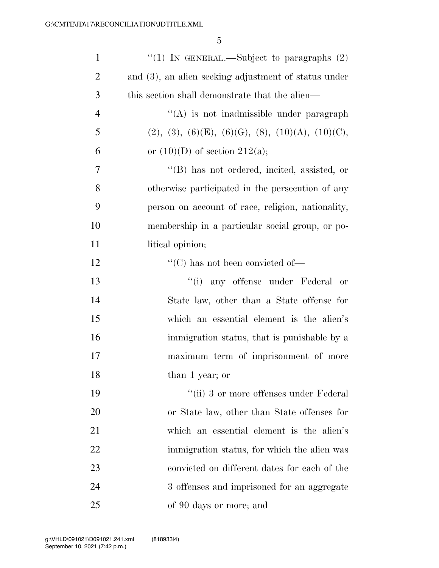| $\mathbf{1}$   | "(1) IN GENERAL.—Subject to paragraphs $(2)$         |
|----------------|------------------------------------------------------|
| $\overline{2}$ | and (3), an alien seeking adjustment of status under |
| 3              | this section shall demonstrate that the alien—       |
| $\overline{4}$ | "(A) is not inadmissible under paragraph             |
| 5              | $(2), (3), (6)(E), (6)(G), (8), (10)(A), (10)(C),$   |
| 6              | or $(10)(D)$ of section $212(a)$ ;                   |
| 7              | "(B) has not ordered, incited, assisted, or          |
| 8              | otherwise participated in the persecution of any     |
| 9              | person on account of race, religion, nationality,    |
| 10             | membership in a particular social group, or po-      |
| 11             | litical opinion;                                     |
| 12             | "(C) has not been convicted of—                      |
| 13             | "(i) any offense under Federal<br>or                 |
| 14             | State law, other than a State offense for            |
| 15             | which an essential element is the alien's            |
| 16             | immigration status, that is punishable by a          |
| 17             | maximum term of imprisonment of more                 |
| 18             | than 1 year; or                                      |
| 19             | "(ii) 3 or more offenses under Federal               |
| 20             | or State law, other than State offenses for          |
| 21             | which an essential element is the alien's            |
| 22             | immigration status, for which the alien was          |
| 23             | convicted on different dates for each of the         |
| 24             | 3 offenses and imprisoned for an aggregate           |
| 25             | of 90 days or more; and                              |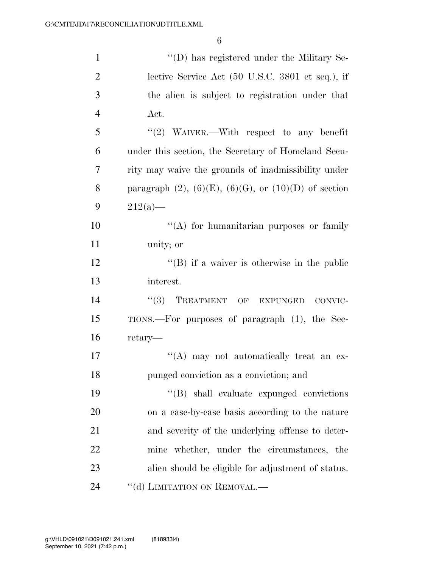| $\mathbf{1}$   | "(D) has registered under the Military Se-                      |
|----------------|-----------------------------------------------------------------|
| $\overline{2}$ | lective Service Act (50 U.S.C. 3801 et seq.), if                |
| 3              | the alien is subject to registration under that                 |
| $\overline{4}$ | Act.                                                            |
| 5              | "(2) WAIVER.—With respect to any benefit                        |
| 6              | under this section, the Secretary of Homeland Secu-             |
| 7              | rity may waive the grounds of inadmissibility under             |
| 8              | paragraph $(2)$ , $(6)(E)$ , $(6)(G)$ , or $(10)(D)$ of section |
| 9              | $212(a)$ —                                                      |
| 10             | "(A) for humanitarian purposes or family                        |
| 11             | unity; or                                                       |
| 12             | $\lq\lq (B)$ if a waiver is otherwise in the public             |
| 13             | interest.                                                       |
| 14             | ``(3)<br>TREATMENT OF EXPUNGED<br>CONVIC-                       |
| 15             | TIONS.—For purposes of paragraph (1), the Sec-                  |
| 16             | retary—                                                         |
| 17             | "(A) may not automatically treat an ex-                         |
| 18             | punged conviction as a conviction; and                          |
| 19             | "(B) shall evaluate expunged convictions                        |
| 20             | on a case-by-case basis according to the nature                 |
| 21             | and severity of the underlying offense to deter-                |
| 22             | mine whether, under the circumstances, the                      |
| 23             | alien should be eligible for adjustment of status.              |
| 24             | "(d) LIMITATION ON REMOVAL.—                                    |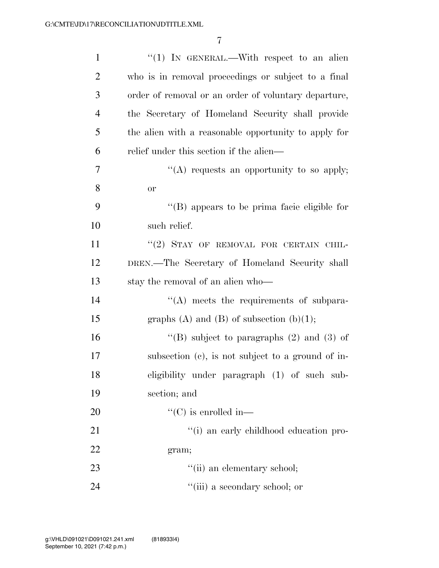| $\mathbf{1}$   | "(1) IN GENERAL.—With respect to an alien            |
|----------------|------------------------------------------------------|
| $\overline{2}$ | who is in removal proceedings or subject to a final  |
| 3              | order of removal or an order of voluntary departure, |
| $\overline{4}$ | the Secretary of Homeland Security shall provide     |
| 5              | the alien with a reasonable opportunity to apply for |
| 6              | relief under this section if the alien—              |
| 7              | "(A) requests an opportunity to so apply;            |
| 8              | or                                                   |
| 9              | $\lq\lq$ (B) appears to be prima facie eligible for  |
| 10             | such relief.                                         |
| 11             | "(2) STAY OF REMOVAL FOR CERTAIN CHIL-               |
| 12             | DREN.—The Secretary of Homeland Security shall       |
| 13             | stay the removal of an alien who—                    |
| 14             | $\lq\lq$ meets the requirements of subpara-          |
| 15             | graphs (A) and (B) of subsection $(b)(1)$ ;          |
| 16             | "(B) subject to paragraphs $(2)$ and $(3)$ of        |
| 17             | subsection $(c)$ , is not subject to a ground of in- |
| 18             | eligibility under paragraph (1) of such sub-         |
| 19             | section; and                                         |
| 20             | $\lq\lq$ (C) is enrolled in—                         |
| 21             | "(i) an early childhood education pro-               |
| 22             | gram;                                                |
| 23             | "(ii) an elementary school;                          |
| 24             | "(iii) a secondary school; or                        |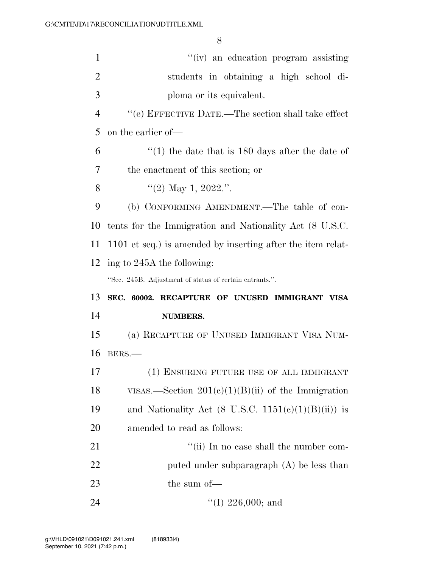| $\mathbf{1}$   | "(iv) an education program assisting                        |
|----------------|-------------------------------------------------------------|
| $\overline{2}$ | students in obtaining a high school di-                     |
| 3              | ploma or its equivalent.                                    |
| $\overline{4}$ | $``$ (e) EFFECTIVE DATE.—The section shall take effect      |
| 5              | on the earlier of—                                          |
| 6              | $\cdot$ (1) the date that is 180 days after the date of     |
| 7              | the enactment of this section; or                           |
| 8              | "(2) May 1, 2022.".                                         |
| 9              | (b) CONFORMING AMENDMENT.—The table of con-                 |
| 10             | tents for the Immigration and Nationality Act (8 U.S.C.     |
| 11             | 1101 et seq.) is amended by inserting after the item relat- |
| 12             | ing to 245A the following:                                  |
|                |                                                             |
|                | "Sec. 245B. Adjustment of status of certain entrants.".     |
| 13             | SEC. 60002. RECAPTURE OF UNUSED IMMIGRANT VISA              |
| 14             | <b>NUMBERS.</b>                                             |
| 15             | (a) RECAPTURE OF UNUSED IMMIGRANT VISA NUM-                 |
| 16             | BERS.                                                       |
| 17             | (1) ENSURING FUTURE USE OF ALL IMMIGRANT                    |
| 18             | VISAS.—Section $201(c)(1)(B)(ii)$ of the Immigration        |
| 19             | and Nationality Act (8 U.S.C. $1151(e)(1)(B(ii))$ is        |
| 20             | amended to read as follows:                                 |
| 21             | "(ii) In no case shall the number com-                      |
| 22             | puted under subparagraph $(A)$ be less than                 |
| 23             | the sum of-                                                 |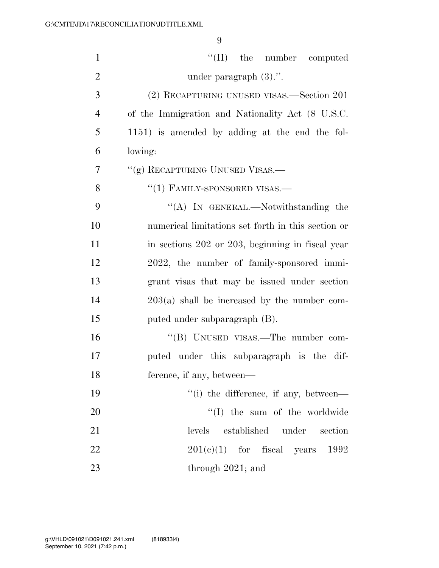| $\mathbf{1}$   | $\lq\lq$ (II) the number computed                      |
|----------------|--------------------------------------------------------|
| $\overline{2}$ | under paragraph $(3)$ .".                              |
| 3              | (2) RECAPTURING UNUSED VISAS.—Section 201              |
| $\overline{4}$ | of the Immigration and Nationality Act (8 U.S.C.       |
| 5              | 1151) is amended by adding at the end the fol-         |
| 6              | lowing:                                                |
| 7              | "(g) RECAPTURING UNUSED VISAS.—                        |
| 8              | $"(1)$ FAMILY-SPONSORED VISAS.—                        |
| 9              | "(A) IN GENERAL.—Notwithstanding the                   |
| 10             | numerical limitations set forth in this section or     |
| 11             | in sections 202 or 203, beginning in fiscal year       |
| 12             | 2022, the number of family-sponsored immi-             |
| 13             | grant visas that may be issued under section           |
| 14             | $203(a)$ shall be increased by the number com-         |
| 15             | puted under subparagraph (B).                          |
| 16             | "(B) UNUSED VISAS.—The number com-                     |
| 17             | puted under this subparagraph is the dif-              |
| 18             | ference, if any, between—                              |
| 19             | $\lq$ <sup>"(i)</sup> the difference, if any, between— |
| 20             | $\lq\lq$ (I) the sum of the worldwide                  |
| 21             | levels established under<br>section                    |
| 22             | $201(c)(1)$ for fiscal years 1992                      |
| 23             | through $2021$ ; and                                   |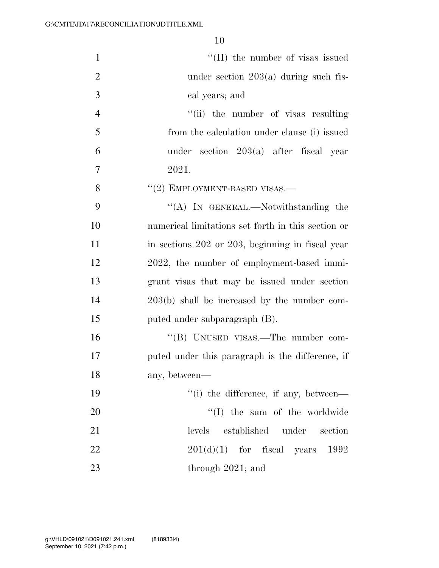| $\mathbf{1}$   | $\lq\lq$ (II) the number of visas issued           |
|----------------|----------------------------------------------------|
| $\overline{2}$ | under section $203(a)$ during such fis-            |
| 3              | cal years; and                                     |
| $\overline{4}$ | "(ii) the number of visas resulting                |
| 5              | from the calculation under clause (i) issued       |
| 6              | under section $203(a)$ after fiscal year           |
| 7              | 2021.                                              |
| 8              | $``(2)$ EMPLOYMENT-BASED VISAS.—                   |
| 9              | "(A) IN GENERAL.—Notwithstanding the               |
| 10             | numerical limitations set forth in this section or |
| 11             | in sections 202 or 203, beginning in fiscal year   |
| 12             | 2022, the number of employment-based immi-         |
| 13             | grant visas that may be issued under section       |
| 14             | $203(b)$ shall be increased by the number com-     |
| 15             | puted under subparagraph (B).                      |
| 16             | "(B) UNUSED VISAS.—The number com-                 |
| 17             | puted under this paragraph is the difference, if   |
| 18             | any, between—                                      |
| 19             | "(i) the difference, if any, between—              |
| 20             | $\lq\lq$ (I) the sum of the worldwide              |
| 21             | levels<br>established under<br>section             |
| 22             | $201(d)(1)$ for fiscal<br>years 1992               |
| 23             | through $2021$ ; and                               |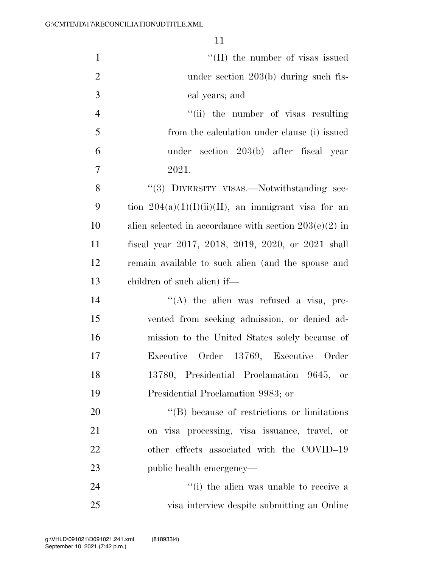| $\mathbf{1}$   | "(II) the number of visas issued                         |
|----------------|----------------------------------------------------------|
| $\overline{2}$ | under section $203(b)$ during such fis-                  |
| 3              | cal years; and                                           |
| $\overline{4}$ | "(ii) the number of visas resulting                      |
| 5              | from the calculation under clause (i) issued             |
| 6              | under section 203(b) after fiscal year                   |
| $\overline{7}$ | 2021.                                                    |
| 8              | "(3) DIVERSITY VISAS.—Notwithstanding sec-               |
| 9              | tion $204(a)(1)(1)(ii)(II)$ , an immigrant visa for an   |
| 10             | alien selected in accordance with section $203(e)(2)$ in |
| 11             | fiscal year 2017, 2018, 2019, 2020, or 2021 shall        |
| 12             | remain available to such alien (and the spouse and       |
| 13             | children of such alien) if—                              |
| 14             | "(A) the alien was refused a visa, pre-                  |
| 15             | vented from seeking admission, or denied ad-             |
| 16             | mission to the United States solely because of           |
| 17             | Executive Order 13769, Executive Order                   |
| 18             | 13780, Presidential Proclamation 9645, or                |
| 19             | Presidential Proclamation 9983; or                       |
| 20             | $\lq\lq$ because of restrictions or limitations          |
| 21             | on visa processing, visa issuance, travel, or            |
| 22             | other effects associated with the COVID-19               |
| 23             | public health emergency—                                 |
| 24             | "(i) the alien was unable to receive a                   |
| 25             | visa interview despite submitting an Online              |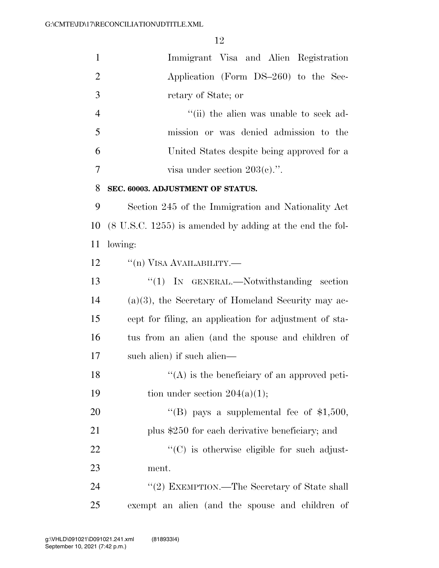| $\mathbf{1}$   | Immigrant Visa and Alien Registration                               |
|----------------|---------------------------------------------------------------------|
| $\overline{2}$ | Application (Form DS-260) to the Sec-                               |
| 3              | retary of State; or                                                 |
| $\overline{4}$ | "(ii) the alien was unable to seek ad-                              |
| 5              | mission or was denied admission to the                              |
| 6              | United States despite being approved for a                          |
| 7              | visa under section $203(c)$ .".                                     |
| 8              | SEC. 60003. ADJUSTMENT OF STATUS.                                   |
| 9              | Section 245 of the Immigration and Nationality Act                  |
| 10             | $(8 \text{ U.S.C. } 1255)$ is amended by adding at the end the fol- |
| 11             | lowing:                                                             |
| 12             | $\lq($ n) VISA AVAILABILITY.—                                       |
| 13             | " $(1)$ IN GENERAL.—Notwithstanding section                         |
| 14             | $(a)(3)$ , the Secretary of Homeland Security may ac-               |
| 15             | cept for filing, an application for adjustment of sta-              |
| 16             | tus from an alien (and the spouse and children of                   |
| 17             | such alien) if such alien—                                          |
| 18             | $\lq\lq$ is the beneficiary of an approved peti-                    |
| 19             | tion under section $204(a)(1)$ ;                                    |
| 20             | "(B) pays a supplemental fee of $$1,500$ ,                          |
| 21             | plus \$250 for each derivative beneficiary; and                     |
| 22             | $\lq\lq$ (C) is otherwise eligible for such adjust-                 |
| 23             | ment.                                                               |
| 24             | "(2) EXEMPTION.—The Secretary of State shall                        |
| 25             | exempt an alien (and the spouse and children of                     |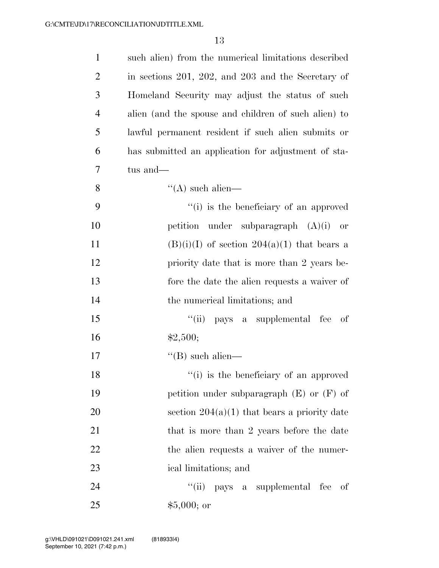| $\mathbf{1}$   | such alien) from the numerical limitations described |
|----------------|------------------------------------------------------|
| $\overline{2}$ | in sections 201, 202, and 203 and the Secretary of   |
| 3              | Homeland Security may adjust the status of such      |
| $\overline{4}$ | alien (and the spouse and children of such alien) to |
| 5              | lawful permanent resident if such alien submits or   |
| 6              | has submitted an application for adjustment of sta-  |
| 7              | tus and—                                             |
| 8              | $\lq\lq$ such alien—                                 |
| 9              | "(i) is the beneficiary of an approved               |
| 10             | petition under subparagraph $(A)(i)$ or              |
| 11             | $(B)(i)(I)$ of section $204(a)(1)$ that bears a      |
| 12             | priority date that is more than 2 years be-          |
| 13             | fore the date the alien requests a waiver of         |
| 14             | the numerical limitations; and                       |
| 15             | ``(ii)<br>pays a supplemental fee<br>- of            |
| 16             | \$2,500;                                             |
| 17             | $\lq\lq$ (B) such alien—                             |
| 18             | "(i) is the beneficiary of an approved               |
| 19             | petition under subparagraph $(E)$ or $(F)$ of        |
| 20             | section $204(a)(1)$ that bears a priority date       |
| 21             | that is more than 2 years before the date            |
| 22             | the alien requests a waiver of the numer-            |
| 23             | ical limitations; and                                |
| 24             | ``(ii)<br>pays a supplemental fee of                 |
| 25             | $$5,000;$ or                                         |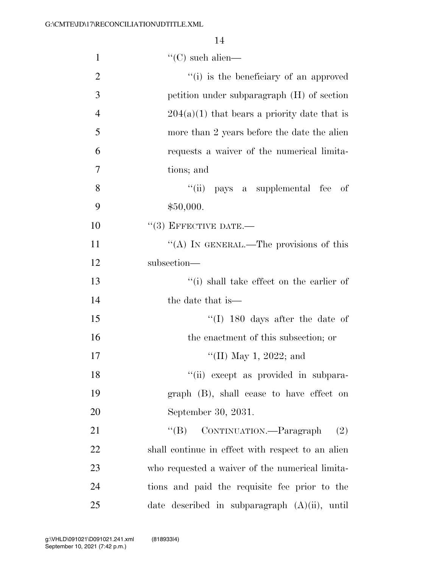| $\mathbf{1}$   | $\lq\lq$ (C) such alien—                                      |
|----------------|---------------------------------------------------------------|
| $\overline{2}$ | "(i) is the beneficiary of an approved                        |
| 3              | petition under subparagraph (H) of section                    |
| $\overline{4}$ | $204(a)(1)$ that bears a priority date that is                |
| 5              | more than 2 years before the date the alien                   |
| 6              | requests a waiver of the numerical limita-                    |
| 7              | tions; and                                                    |
| 8              | "(ii) pays a supplemental fee of                              |
| 9              | \$50,000.                                                     |
| 10             | $``(3)$ EFFECTIVE DATE.—                                      |
| 11             | "(A) IN GENERAL.—The provisions of this                       |
| 12             | subsection-                                                   |
| 13             | "(i) shall take effect on the earlier of                      |
| 14             | the date that is—                                             |
| 15             | $\lq(1)$ 180 days after the date of                           |
| 16             | the enactment of this subsection; or                          |
| 17             | "(II) May 1, 2022; and                                        |
| 18             | "(ii) except as provided in subpara-                          |
| 19             | graph (B), shall cease to have effect on                      |
| 20             | September 30, 2031.                                           |
| 21             | CONTINUATION. <sup>---</sup> Paragraph<br>$\lq\lq (B)$<br>(2) |
| 22             | shall continue in effect with respect to an alien             |
| 23             | who requested a waiver of the numerical limita-               |
| 24             | tions and paid the requisite fee prior to the                 |
| 25             | date described in subparagraph $(A)(ii)$ , until              |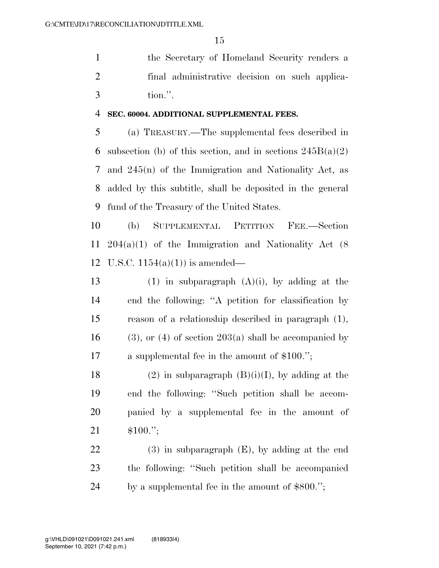the Secretary of Homeland Security renders a final administrative decision on such applica-tion.''.

## **SEC. 60004. ADDITIONAL SUPPLEMENTAL FEES.**

 (a) TREASURY.—The supplemental fees described in 6 subsection (b) of this section, and in sections  $245B(a)(2)$  and 245(n) of the Immigration and Nationality Act, as added by this subtitle, shall be deposited in the general fund of the Treasury of the United States.

 (b) SUPPLEMENTAL PETITION FEE.—Section 204(a)(1) of the Immigration and Nationality Act (8 12 U.S.C.  $1154(a)(1)$  is amended—

13 (1) in subparagraph  $(A)(i)$ , by adding at the end the following: ''A petition for classification by reason of a relationship described in paragraph (1), 16 (3), or (4) of section 203(a) shall be accompanied by a supplemental fee in the amount of \$100.'';

18 (2) in subparagraph  $(B)(i)(I)$ , by adding at the end the following: ''Such petition shall be accom- panied by a supplemental fee in the amount of \$100.'';

 (3) in subparagraph (E), by adding at the end the following: ''Such petition shall be accompanied by a supplemental fee in the amount of \$800.'';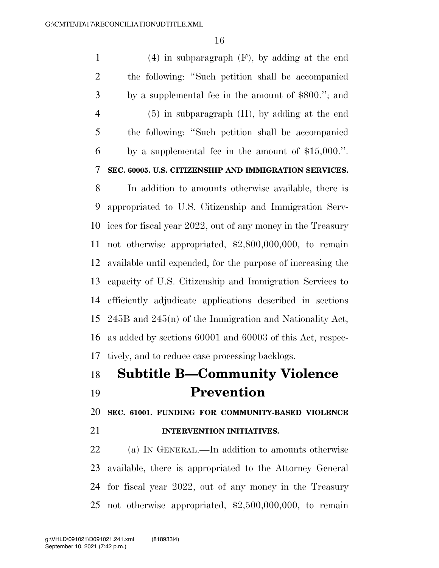(4) in subparagraph (F), by adding at the end the following: ''Such petition shall be accompanied by a supplemental fee in the amount of \$800.''; and (5) in subparagraph (H), by adding at the end the following: ''Such petition shall be accompanied by a supplemental fee in the amount of \$15,000.''. **SEC. 60005. U.S. CITIZENSHIP AND IMMIGRATION SERVICES.**  In addition to amounts otherwise available, there is appropriated to U.S. Citizenship and Immigration Serv- ices for fiscal year 2022, out of any money in the Treasury not otherwise appropriated, \$2,800,000,000, to remain available until expended, for the purpose of increasing the

 capacity of U.S. Citizenship and Immigration Services to efficiently adjudicate applications described in sections 245B and 245(n) of the Immigration and Nationality Act, as added by sections 60001 and 60003 of this Act, respec-tively, and to reduce case processing backlogs.

## **Subtitle B—Community Violence Prevention**

**SEC. 61001. FUNDING FOR COMMUNITY-BASED VIOLENCE** 

## **INTERVENTION INITIATIVES.**

 (a) IN GENERAL.—In addition to amounts otherwise available, there is appropriated to the Attorney General for fiscal year 2022, out of any money in the Treasury not otherwise appropriated, \$2,500,000,000, to remain